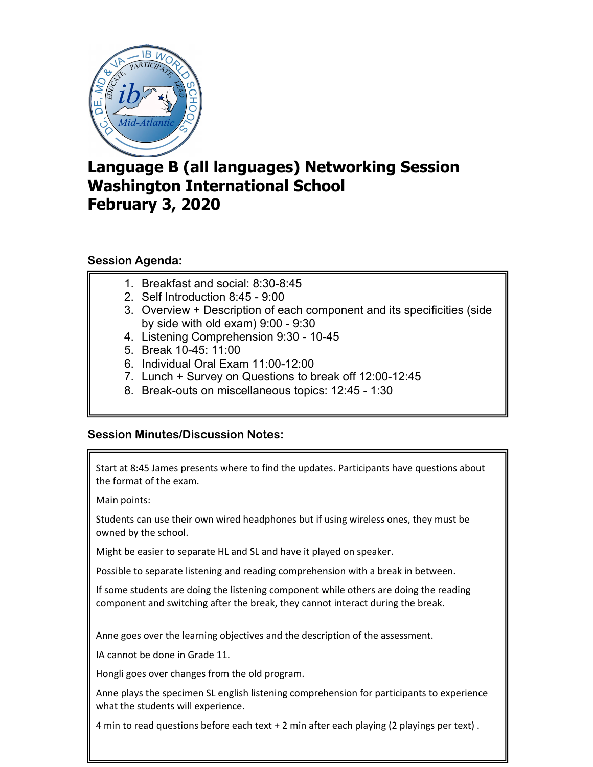

## **Language B (all languages) Networking Session Washington International School February 3, 2020**

## **Session Agenda:**

- 1. Breakfast and social: 8:30-8:45
- 2. Self Introduction 8:45 9:00
- 3. Overview + Description of each component and its specificities (side by side with old exam) 9:00 - 9:30
- 4. Listening Comprehension 9:30 10-45
- 5. Break 10-45: 11:00
- 6. Individual Oral Exam 11:00-12:00
- 7. Lunch + Survey on Questions to break off 12:00-12:45
- 8. Break-outs on miscellaneous topics: 12:45 1:30

## **Session Minutes/Discussion Notes:**

Start at 8:45 James presents where to find the updates. Participants have questions about the format of the exam.

Main points:

Students can use their own wired headphones but if using wireless ones, they must be owned by the school.

Might be easier to separate HL and SL and have it played on speaker.

Possible to separate listening and reading comprehension with a break in between.

If some students are doing the listening component while others are doing the reading component and switching after the break, they cannot interact during the break.

Anne goes over the learning objectives and the description of the assessment.

IA cannot be done in Grade 11.

Hongli goes over changes from the old program.

Anne plays the specimen SL english listening comprehension for participants to experience what the students will experience.

4 min to read questions before each text + 2 min after each playing (2 playings per text) .